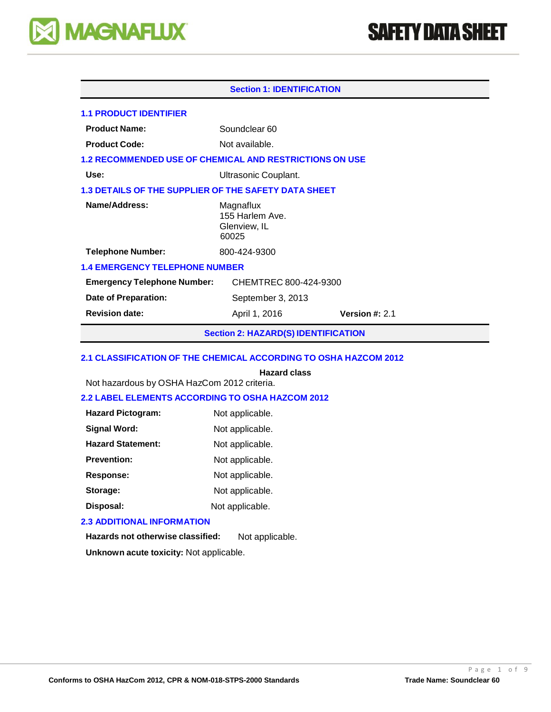

# **SAFETY DATA SHEET**

| <b>Section 1: IDENTIFICATION</b>                               |                                                       |  |  |  |  |  |
|----------------------------------------------------------------|-------------------------------------------------------|--|--|--|--|--|
| <b>1.1 PRODUCT IDENTIFIER</b>                                  |                                                       |  |  |  |  |  |
| <b>Product Name:</b>                                           | Soundclear 60                                         |  |  |  |  |  |
| <b>Product Code:</b>                                           | Not available.                                        |  |  |  |  |  |
| <b>1.2 RECOMMENDED USE OF CHEMICAL AND RESTRICTIONS ON USE</b> |                                                       |  |  |  |  |  |
| Use:                                                           | Ultrasonic Couplant.                                  |  |  |  |  |  |
| <b>1.3 DETAILS OF THE SUPPLIER OF THE SAFETY DATA SHEET</b>    |                                                       |  |  |  |  |  |
| Name/Address:                                                  | Magnaflux<br>155 Harlem Ave.<br>Glenview, IL<br>60025 |  |  |  |  |  |
| <b>Telephone Number:</b>                                       | 800-424-9300                                          |  |  |  |  |  |
| <b>1.4 EMERGENCY TELEPHONE NUMBER</b>                          |                                                       |  |  |  |  |  |
| CHEMTREC 800-424-9300<br><b>Emergency Telephone Number:</b>    |                                                       |  |  |  |  |  |
| Date of Preparation:                                           | September 3, 2013                                     |  |  |  |  |  |
| <b>Revision date:</b>                                          | Version $#: 2.1$<br>April 1, 2016                     |  |  |  |  |  |

**Section 2: HAZARD(S) IDENTIFICATION**

# **2.1 CLASSIFICATION OF THE CHEMICAL ACCORDING TO OSHA HAZCOM 2012**

# **Hazard class**

Not hazardous by OSHA HazCom 2012 criteria.

# **2.2 LABEL ELEMENTS ACCORDING TO OSHA HAZCOM 2012**

| <b>Hazard Pictogram:</b> | Not applicable. |
|--------------------------|-----------------|
| <b>Signal Word:</b>      | Not applicable. |
| <b>Hazard Statement:</b> | Not applicable. |
| <b>Prevention:</b>       | Not applicable. |
| Response:                | Not applicable. |
| Storage:                 | Not applicable. |
| Disposal:                | Not applicable. |

# **2.3 ADDITIONAL INFORMATION**

**Hazards not otherwise classified:** Not applicable.

**Unknown acute toxicity:** Not applicable.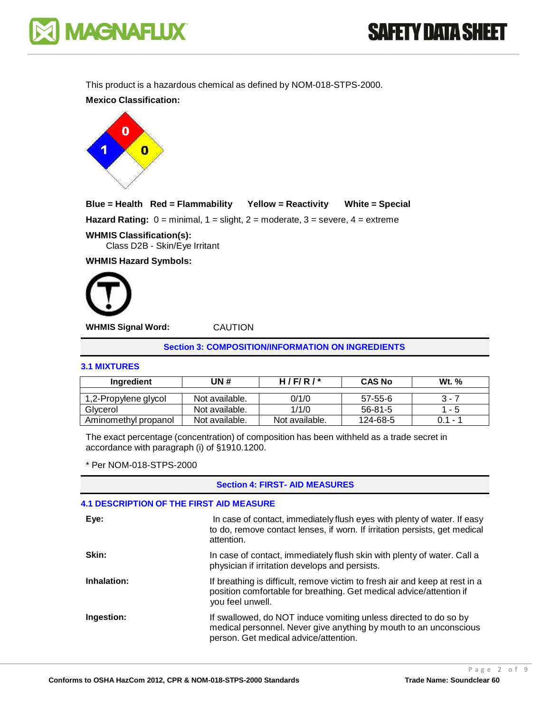

**SAFETY DATA SHEET** 

This product is a hazardous chemical as defined by NOM-018-STPS-2000.

**Mexico Classification:**



# **Blue = Health Red = Flammability Yellow = Reactivity White = Special**

**Hazard Rating:**  $0 = \text{minimal}$ ,  $1 = \text{slight}$ ,  $2 = \text{moderate}$ ,  $3 = \text{severe}$ ,  $4 = \text{extreme}$ 

# **WHMIS Classification(s):**

Class D2B - Skin/Eye Irritant

**WHMIS Hazard Symbols:**



**WHMIS Signal Word:** CAUTION

**Section 3: COMPOSITION/INFORMATION ON INGREDIENTS**

# **3.1 MIXTURES**

| Ingredient           | UN #           | H/F/R/         | <b>CAS No</b> | <b>Wt.</b> % |
|----------------------|----------------|----------------|---------------|--------------|
|                      |                |                |               |              |
| 1,2-Propylene glycol | Not available. | 0/1/0          | 57-55-6       | 3 - 7        |
| Glycerol             | Not available. | 1/1/0          | $56 - 81 - 5$ | $1 - 5$      |
| Aminomethyl propanol | Not available. | Not available. | 124-68-5      | በ 1 - 1      |

The exact percentage (concentration) of composition has been withheld as a trade secret in accordance with paragraph (i) of §1910.1200.

\* Per NOM-018-STPS-2000

#### **Section 4: FIRST- AID MEASURES**

# **4.1 DESCRIPTION OF THE FIRST AID MEASURE**

| Eye:        | In case of contact, immediately flush eyes with plenty of water. If easy<br>to do, remove contact lenses, if worn. If irritation persists, get medical<br>attention.           |
|-------------|--------------------------------------------------------------------------------------------------------------------------------------------------------------------------------|
| Skin:       | In case of contact, immediately flush skin with plenty of water. Call a<br>physician if irritation develops and persists.                                                      |
| Inhalation: | If breathing is difficult, remove victim to fresh air and keep at rest in a<br>position comfortable for breathing. Get medical advice/attention if<br>you feel unwell.         |
| Ingestion:  | If swallowed, do NOT induce vomiting unless directed to do so by<br>medical personnel. Never give anything by mouth to an unconscious<br>person. Get medical advice/attention. |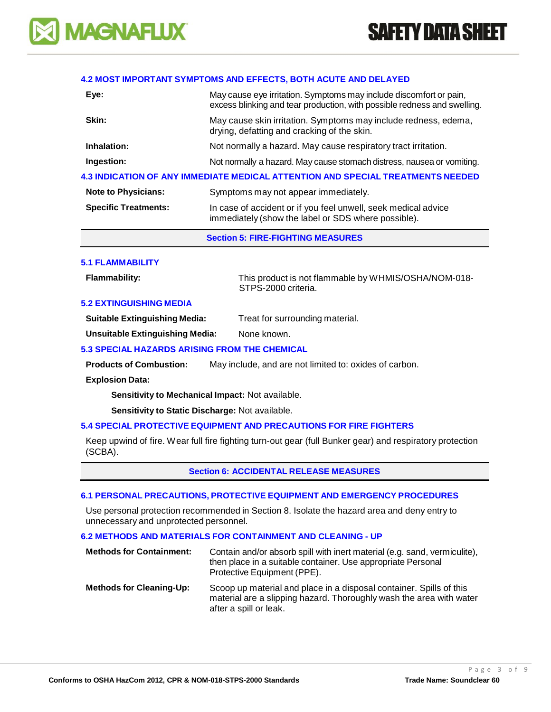

#### **4.2 MOST IMPORTANT SYMPTOMS AND EFFECTS, BOTH ACUTE AND DELAYED**

| Eye:                        | May cause eye irritation. Symptoms may include discomfort or pain,<br>excess blinking and tear production, with possible redness and swelling. |  |
|-----------------------------|------------------------------------------------------------------------------------------------------------------------------------------------|--|
| Skin:                       | May cause skin irritation. Symptoms may include redness, edema,<br>drying, defatting and cracking of the skin.                                 |  |
| Inhalation:                 | Not normally a hazard. May cause respiratory tract irritation.                                                                                 |  |
| Ingestion:                  | Not normally a hazard. May cause stomach distress, nausea or vomiting.                                                                         |  |
|                             | 4.3 INDICATION OF ANY IMMEDIATE MEDICAL ATTENTION AND SPECIAL TREATMENTS NEEDED                                                                |  |
| <b>Note to Physicians:</b>  | Symptoms may not appear immediately.                                                                                                           |  |
| <b>Specific Treatments:</b> | In case of accident or if you feel unwell, seek medical advice<br>immediately (show the label or SDS where possible).                          |  |

# **Section 5: FIRE-FIGHTING MEASURES**

#### **5.1 FLAMMABILITY**

**Flammability:** This product is not flammable by WHMIS/OSHA/NOM-018- STPS-2000 criteria.

# **5.2 EXTINGUISHING MEDIA**

| <b>Suitable Extinguishing Media:</b> | Treat for surrounding material. |
|--------------------------------------|---------------------------------|
|--------------------------------------|---------------------------------|

**Unsuitable Extinguishing Media:** None known.

# **5.3 SPECIAL HAZARDS ARISING FROM THE CHEMICAL**

**Products of Combustion:** May include, and are not limited to: oxides of carbon.

#### **Explosion Data:**

**Sensitivity to Mechanical Impact:** Not available.

**Sensitivity to Static Discharge:** Not available.

# **5.4 SPECIAL PROTECTIVE EQUIPMENT AND PRECAUTIONS FOR FIRE FIGHTERS**

Keep upwind of fire. Wear full fire fighting turn-out gear (full Bunker gear) and respiratory protection (SCBA).

#### **Section 6: ACCIDENTAL RELEASE MEASURES**

#### **6.1 PERSONAL PRECAUTIONS, PROTECTIVE EQUIPMENT AND EMERGENCY PROCEDURES**

Use personal protection recommended in Section 8. Isolate the hazard area and deny entry to unnecessary and unprotected personnel.

#### **6.2 METHODS AND MATERIALS FOR CONTAINMENT AND CLEANING - UP**

| <b>Methods for Containment:</b> | Contain and/or absorb spill with inert material (e.g. sand, vermiculite),<br>then place in a suitable container. Use appropriate Personal<br>Protective Equipment (PPE). |
|---------------------------------|--------------------------------------------------------------------------------------------------------------------------------------------------------------------------|
| <b>Methods for Cleaning-Up:</b> | Scoop up material and place in a disposal container. Spills of this<br>material are a slipping hazard. Thoroughly wash the area with water<br>after a spill or leak.     |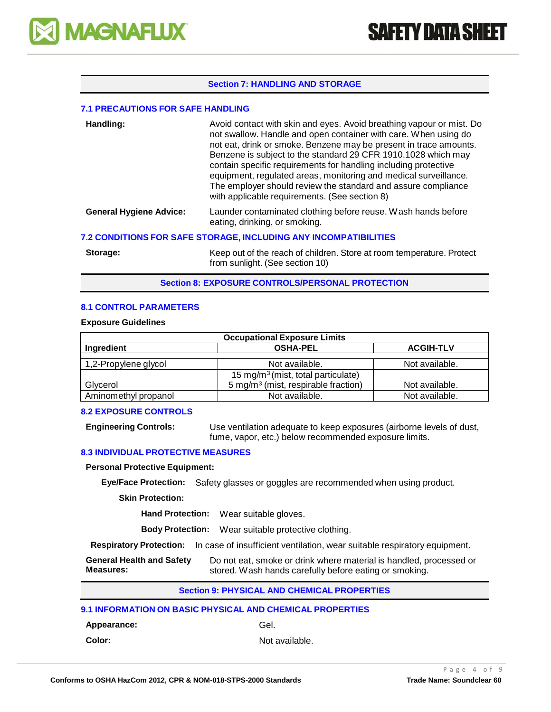

# **Section 7: HANDLING AND STORAGE**

#### **7.1 PRECAUTIONS FOR SAFE HANDLING**

| Handling:                                                               | Avoid contact with skin and eyes. Avoid breathing vapour or mist. Do<br>not swallow. Handle and open container with care. When using do<br>not eat, drink or smoke. Benzene may be present in trace amounts.<br>Benzene is subject to the standard 29 CFR 1910.1028 which may<br>contain specific requirements for handling including protective<br>equipment, regulated areas, monitoring and medical surveillance.<br>The employer should review the standard and assure compliance<br>with applicable requirements. (See section 8) |  |  |
|-------------------------------------------------------------------------|----------------------------------------------------------------------------------------------------------------------------------------------------------------------------------------------------------------------------------------------------------------------------------------------------------------------------------------------------------------------------------------------------------------------------------------------------------------------------------------------------------------------------------------|--|--|
| <b>General Hygiene Advice:</b>                                          | Launder contaminated clothing before reuse. Wash hands before<br>eating, drinking, or smoking.                                                                                                                                                                                                                                                                                                                                                                                                                                         |  |  |
| <b>7.2 CONDITIONS FOR SAFE STORAGE, INCLUDING ANY INCOMPATIBILITIES</b> |                                                                                                                                                                                                                                                                                                                                                                                                                                                                                                                                        |  |  |

**Storage:** Keep out of the reach of children. Store at room temperature. Protect from sunlight. (See section 10)

**Section 8: EXPOSURE CONTROLS/PERSONAL PROTECTION**

#### **8.1 CONTROL PARAMETERS**

#### **Exposure Guidelines**

| <b>Occupational Exposure Limits</b>               |                                                 |                |  |  |
|---------------------------------------------------|-------------------------------------------------|----------------|--|--|
| <b>OSHA-PEL</b><br><b>ACGIH-TLV</b><br>Ingredient |                                                 |                |  |  |
|                                                   |                                                 |                |  |  |
| 1,2-Propylene glycol                              | Not available.                                  | Not available. |  |  |
| 15 mg/m <sup>3</sup> (mist, total particulate)    |                                                 |                |  |  |
| Glycerol                                          | 5 mg/m <sup>3</sup> (mist, respirable fraction) | Not available. |  |  |
| Aminomethyl propanol                              | Not available.                                  | Not available. |  |  |

#### **8.2 EXPOSURE CONTROLS**

**Engineering Controls:** Use ventilation adequate to keep exposures (airborne levels of dust, fume, vapor, etc.) below recommended exposure limits.

#### **8.3 INDIVIDUAL PROTECTIVE MEASURES**

**Personal Protective Equipment:**

**Eye/Face Protection:** Safety glasses or goggles are recommended when using product.

**Skin Protection:**

**Hand Protection:** Wear suitable gloves.

**Body Protection:** Wear suitable protective clothing.

**Respiratory Protection:** In case of insufficient ventilation, wear suitable respiratory equipment.

**General Health and Safety Measures:** Do not eat, smoke or drink where material is handled, processed or stored. Wash hands carefully before eating or smoking.

**Section 9: PHYSICAL AND CHEMICAL PROPERTIES**

#### **9.1 INFORMATION ON BASIC PHYSICAL AND CHEMICAL PROPERTIES**

Appearance: Gel.

**Color:** Not available.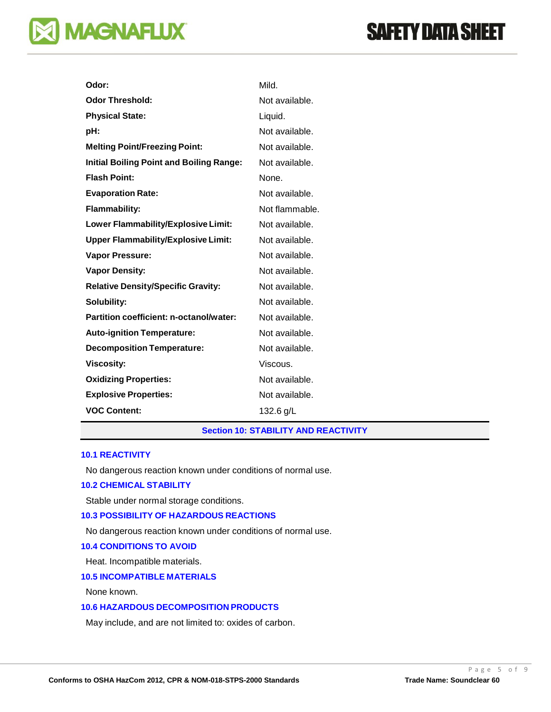# **MAGNAFLUX**

| Odor:                                           | Mild.          |
|-------------------------------------------------|----------------|
| <b>Odor Threshold:</b>                          | Not available. |
| <b>Physical State:</b>                          | Liquid.        |
| pH:                                             | Not available. |
| <b>Melting Point/Freezing Point:</b>            | Not available. |
| <b>Initial Boiling Point and Boiling Range:</b> | Not available. |
| <b>Flash Point:</b>                             | None.          |
| <b>Evaporation Rate:</b>                        | Not available. |
| <b>Flammability:</b>                            | Not flammable. |
| Lower Flammability/Explosive Limit:             | Not available. |
| <b>Upper Flammability/Explosive Limit:</b>      | Not available. |
| <b>Vapor Pressure:</b>                          | Not available. |
| <b>Vapor Density:</b>                           | Not available. |
| <b>Relative Density/Specific Gravity:</b>       | Not available. |
| Solubility:                                     | Not available. |
| Partition coefficient: n-octanol/water:         | Not available. |
| <b>Auto-ignition Temperature:</b>               | Not available. |
| <b>Decomposition Temperature:</b>               | Not available. |
| <b>Viscosity:</b>                               | Viscous.       |
| <b>Oxidizing Properties:</b>                    | Not available. |
| <b>Explosive Properties:</b>                    | Not available. |
| <b>VOC Content:</b>                             | 132.6 g/L      |

# **Section 10: STABILITY AND REACTIVITY**

# **10.1 REACTIVITY**

No dangerous reaction known under conditions of normal use.

# **10.2 CHEMICAL STABILITY**

Stable under normal storage conditions.

# **10.3 POSSIBILITY OF HAZARDOUS REACTIONS**

No dangerous reaction known under conditions of normal use.

#### **10.4 CONDITIONS TO AVOID**

Heat. Incompatible materials.

#### **10.5 INCOMPATIBLE MATERIALS**

None known.

# **10.6 HAZARDOUS DECOMPOSITION PRODUCTS**

May include, and are not limited to: oxides of carbon.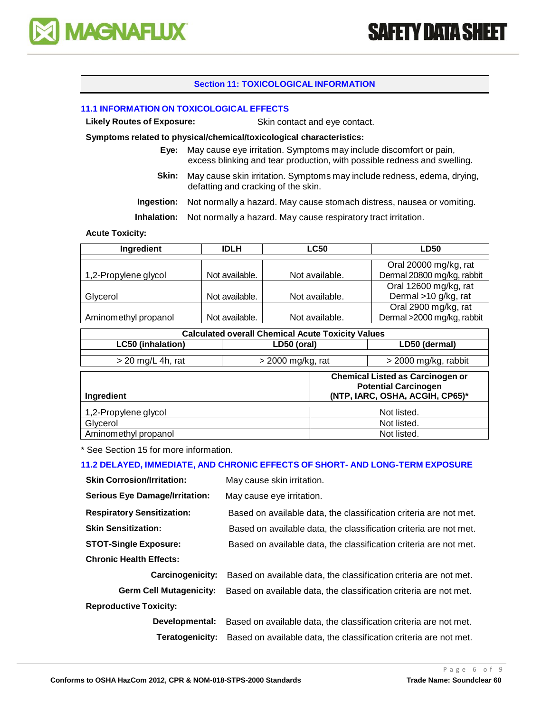

# **Section 11: TOXICOLOGICAL INFORMATION**

#### **11.1 INFORMATION ON TOXICOLOGICAL EFFECTS**

**Likely Routes of Exposure:** Skin contact and eye contact.

#### **Symptoms related to physical/chemical/toxicological characteristics:**

- **Eye:** May cause eye irritation. Symptoms may include discomfort or pain, excess blinking and tear production, with possible redness and swelling.
- **Skin:** May cause skin irritation. Symptoms may include redness, edema, drying, defatting and cracking of the skin.

**Ingestion:** Not normally a hazard. May cause stomach distress, nausea or vomiting.

**Inhalation:** Not normally a hazard. May cause respiratory tract irritation.

#### **Acute Toxicity:**

| Ingredient           | <b>IDLH</b>    | <b>LC50</b>    | <b>LD50</b>                |
|----------------------|----------------|----------------|----------------------------|
|                      |                |                |                            |
|                      |                |                | Oral 20000 mg/kg, rat      |
| 1,2-Propylene glycol | Not available. | Not available. | Dermal 20800 mg/kg, rabbit |
|                      |                |                | Oral 12600 mg/kg, rat      |
| Glycerol             | Not available. | Not available. | Dermal >10 g/kg, rat       |
|                      |                |                | Oral 2900 mg/kg, rat       |
| Aminomethyl propanol | Not available. | Not available. | Dermal >2000 mg/kg, rabbit |

| <b>Calculated overall Chemical Acute Toxicity Values</b> |                     |             |                                                                                                           |  |
|----------------------------------------------------------|---------------------|-------------|-----------------------------------------------------------------------------------------------------------|--|
| <b>LC50 (inhalation)</b>                                 | LD50 (oral)         |             | LD50 (dermal)                                                                                             |  |
| $>$ 20 mg/L 4h, rat                                      | $>$ 2000 mg/kg, rat |             | > 2000 mg/kg, rabbit                                                                                      |  |
| <b>Ingredient</b>                                        |                     |             | <b>Chemical Listed as Carcinogen or</b><br><b>Potential Carcinogen</b><br>(NTP, IARC, OSHA, ACGIH, CP65)* |  |
| 1,2-Propylene glycol                                     |                     |             | Not listed.                                                                                               |  |
| Glycerol                                                 |                     | Not listed. |                                                                                                           |  |
| Aminomethyl propanol                                     |                     | Not listed. |                                                                                                           |  |

\* See Section 15 for more information.

# **11.2 DELAYED, IMMEDIATE, AND CHRONIC EFFECTS OF SHORT- AND LONG-TERM EXPOSURE**

| <b>Skin Corrosion/Irritation:</b>     | May cause skin irritation.                                        |
|---------------------------------------|-------------------------------------------------------------------|
| <b>Serious Eye Damage/Irritation:</b> | May cause eye irritation.                                         |
| <b>Respiratory Sensitization:</b>     | Based on available data, the classification criteria are not met. |
| <b>Skin Sensitization:</b>            | Based on available data, the classification criteria are not met. |
| <b>STOT-Single Exposure:</b>          | Based on available data, the classification criteria are not met. |
| <b>Chronic Health Effects:</b>        |                                                                   |
| Carcinogenicity:                      | Based on available data, the classification criteria are not met. |
| <b>Germ Cell Mutagenicity:</b>        | Based on available data, the classification criteria are not met. |
| <b>Reproductive Toxicity:</b>         |                                                                   |
| Developmental:                        | Based on available data, the classification criteria are not met. |
| Teratogenicity:                       | Based on available data, the classification criteria are not met. |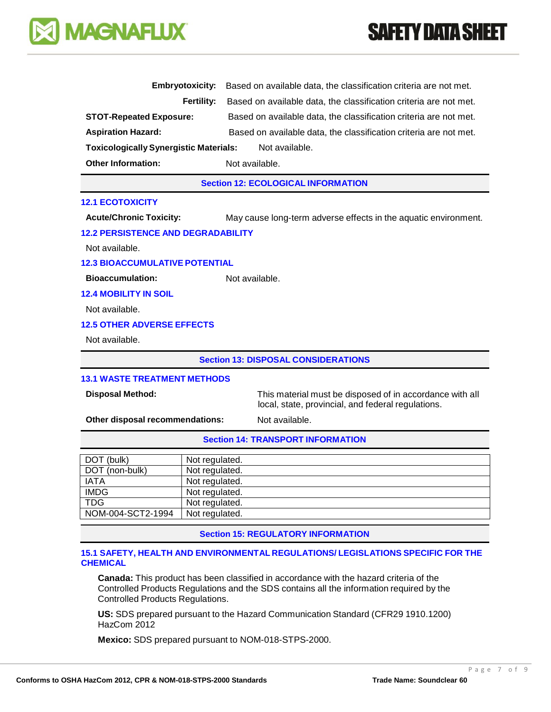# **SAFETY DATA SHEET**



| <b>Embryotoxicity:</b>                                          | Based on available data, the classification criteria are not met. |  |
|-----------------------------------------------------------------|-------------------------------------------------------------------|--|
| Fertility:                                                      | Based on available data, the classification criteria are not met. |  |
| <b>STOT-Repeated Exposure:</b>                                  | Based on available data, the classification criteria are not met. |  |
| <b>Aspiration Hazard:</b>                                       | Based on available data, the classification criteria are not met. |  |
| <b>Toxicologically Synergistic Materials:</b><br>Not available. |                                                                   |  |
| <b>Other Information:</b>                                       | Not available.                                                    |  |
|                                                                 | <b>Section 12: ECOLOGICAL INFORMATION</b>                         |  |
| <b>12.1 ECOTOXICITY</b>                                         |                                                                   |  |
| <b>Acute/Chronic Toxicity:</b>                                  | May cause long-term adverse effects in the aquatic environment.   |  |
| <b>12.2 PERSISTENCE AND DEGRADABILITY</b>                       |                                                                   |  |
| Not available.                                                  |                                                                   |  |
| <b>12.3 BIOACCUMULATIVE POTENTIAL</b>                           |                                                                   |  |
| <b>Bioaccumulation:</b>                                         | Not available.                                                    |  |
| <b>12.4 MOBILITY IN SOIL</b>                                    |                                                                   |  |
| Not available.                                                  |                                                                   |  |
| <b>12.5 OTHER ADVERSE EFFECTS</b>                               |                                                                   |  |
| Not available.                                                  |                                                                   |  |
| <b>Section 13: DISPOSAL CONSIDERATIONS</b>                      |                                                                   |  |
| <b>13.1 WASTE TREATMENT METHODS</b>                             |                                                                   |  |
| <b>Disposal Method:</b>                                         | This material must be disposed of in accordance with all          |  |

local, state, provincial, and federal regulations.

**Other disposal recommendations:** Not available.

# **Section 14: TRANSPORT INFORMATION**

| DOT (bulk)        | Not regulated. |
|-------------------|----------------|
| DOT (non-bulk)    | Not regulated. |
| <b>IATA</b>       | Not regulated. |
| <b>IMDG</b>       | Not regulated. |
| <b>TDG</b>        | Not regulated. |
| NOM-004-SCT2-1994 | Not regulated. |

**Section 15: REGULATORY INFORMATION**

#### **15.1 SAFETY, HEALTH AND ENVIRONMENTAL REGULATIONS/ LEGISLATIONS SPECIFIC FOR THE CHEMICAL**

**Canada:** This product has been classified in accordance with the hazard criteria of the Controlled Products Regulations and the SDS contains all the information required by the Controlled Products Regulations.

**US:** SDS prepared pursuant to the Hazard Communication Standard (CFR29 1910.1200) HazCom 2012

**Mexico:** SDS prepared pursuant to NOM-018-STPS-2000.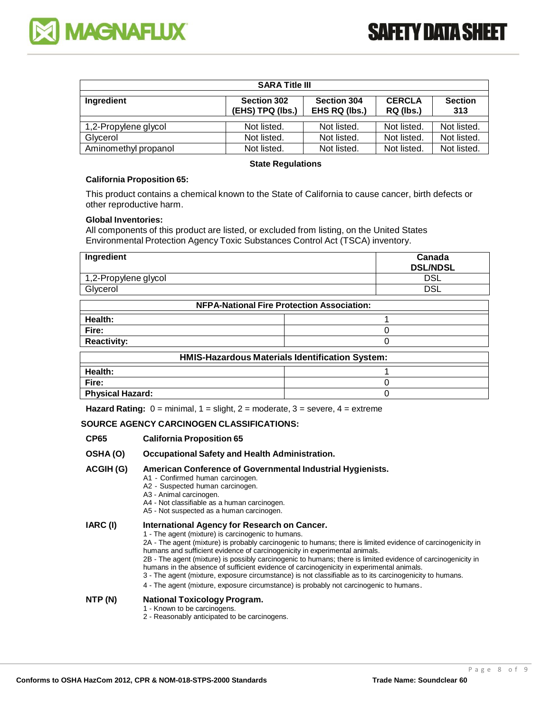



| <b>SARA Title III</b>                                                                                                                       |             |             |             |             |
|---------------------------------------------------------------------------------------------------------------------------------------------|-------------|-------------|-------------|-------------|
| <b>CERCLA</b><br>Section 302<br><b>Section 304</b><br><b>Section</b><br>Ingredient<br>(EHS) TPQ (lbs.)<br>EHS RQ (lbs.)<br>RQ (lbs.)<br>313 |             |             |             |             |
| 1,2-Propylene glycol                                                                                                                        | Not listed. | Not listed. | Not listed. | Not listed. |
| Glycerol                                                                                                                                    | Not listed. | Not listed. | Not listed. | Not listed. |
| Aminomethyl propanol                                                                                                                        | Not listed. | Not listed. | Not listed. | Not listed. |

#### **State Regulations**

#### **California Proposition 65:**

This product contains a chemical known to the State of California to cause cancer, birth defects or other reproductive harm.

#### **Global Inventories:**

All components of this product are listed, or excluded from listing, on the United States Environmental Protection Agency Toxic Substances Control Act (TSCA) inventory.

| Ingredient                                      |                                                   | Canada<br><b>DSL/NDSL</b> |  |
|-------------------------------------------------|---------------------------------------------------|---------------------------|--|
| 1,2-Propylene glycol                            |                                                   | DSL                       |  |
| Glycerol                                        |                                                   | <b>DSL</b>                |  |
|                                                 | <b>NFPA-National Fire Protection Association:</b> |                           |  |
| Health:                                         |                                                   |                           |  |
| Fire:                                           |                                                   | O                         |  |
| <b>Reactivity:</b>                              |                                                   | U                         |  |
| HMIS-Hazardous Materials Identification System: |                                                   |                           |  |
| .                                               |                                                   | $\overline{ }$            |  |

| THRID-TREATUOUS MAIGHAIS IUCHINICANON OVSICHI. |  |
|------------------------------------------------|--|
|                                                |  |
| Health:                                        |  |
| Fire:                                          |  |
| <b>Physical Hazard:</b>                        |  |

**Hazard Rating:**  $0 = \text{minimal}$ ,  $1 = \text{slight}$ ,  $2 = \text{moderate}$ ,  $3 = \text{severe}$ ,  $4 = \text{extreme}$ 

## **SOURCE AGENCY CARCINOGEN CLASSIFICATIONS:**

#### **CP65 California Proposition 65**

- **OSHA (O) Occupational Safety and Health Administration.**
- **ACGIH (G) American Conference of Governmental Industrial Hygienists.**
	- A1 Confirmed human carcinogen.
	- A2 Suspected human carcinogen.
	- A3 Animal carcinogen.
	- A4 Not classifiable as a human carcinogen.
	- A5 Not suspected as a human carcinogen.

# **IARC (I) International Agency for Research on Cancer.**

- 1 The agent (mixture) is carcinogenic to humans.
- 2A The agent (mixture) is probably carcinogenic to humans; there is limited evidence of carcinogenicity in humans and sufficient evidence of carcinogenicity in experimental animals.
- 2B The agent (mixture) is possibly carcinogenic to humans; there is limited evidence of carcinogenicity in humans in the absence of sufficient evidence of carcinogenicity in experimental animals.
- 3 The agent (mixture, exposure circumstance) is not classifiable as to its carcinogenicity to humans.
- 4 The agent (mixture, exposure circumstance) is probably not carcinogenic to humans.

### **NTP (N) National Toxicology Program.**

- 1 Known to be carcinogens.
- 2 Reasonably anticipated to be carcinogens.